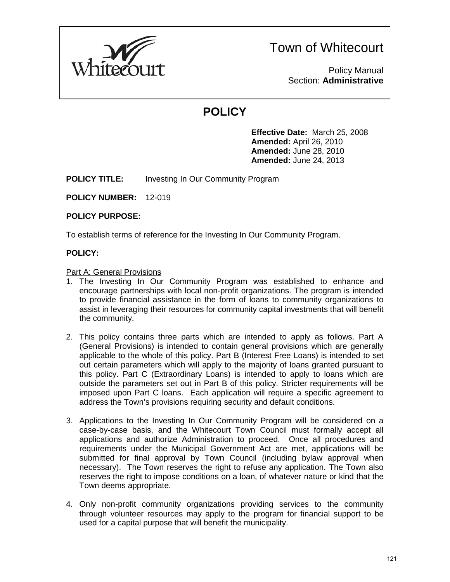

Policy Manual Section: **Administrative**

# **POLICY**

**Effective Date:** March 25, 2008 **Amended:** April 26, 2010 **Amended:** June 28, 2010 **Amended:** June 24, 2013

**POLICY TITLE:** Investing In Our Community Program

**POLICY NUMBER:** 12-019

#### **POLICY PURPOSE:**

To establish terms of reference for the Investing In Our Community Program.

### **POLICY:**

#### Part A: General Provisions

- 1. The Investing In Our Community Program was established to enhance and encourage partnerships with local non-profit organizations. The program is intended to provide financial assistance in the form of loans to community organizations to assist in leveraging their resources for community capital investments that will benefit the community.
- 2. This policy contains three parts which are intended to apply as follows. Part A (General Provisions) is intended to contain general provisions which are generally applicable to the whole of this policy. Part B (Interest Free Loans) is intended to set out certain parameters which will apply to the majority of loans granted pursuant to this policy. Part C (Extraordinary Loans) is intended to apply to loans which are outside the parameters set out in Part B of this policy. Stricter requirements will be imposed upon Part C loans. Each application will require a specific agreement to address the Town's provisions requiring security and default conditions.
- 3. Applications to the Investing In Our Community Program will be considered on a case-by-case basis, and the Whitecourt Town Council must formally accept all applications and authorize Administration to proceed. Once all procedures and requirements under the Municipal Government Act are met, applications will be submitted for final approval by Town Council (including bylaw approval when necessary). The Town reserves the right to refuse any application. The Town also reserves the right to impose conditions on a loan, of whatever nature or kind that the Town deems appropriate.
- 4. Only non-profit community organizations providing services to the community through volunteer resources may apply to the program for financial support to be used for a capital purpose that will benefit the municipality.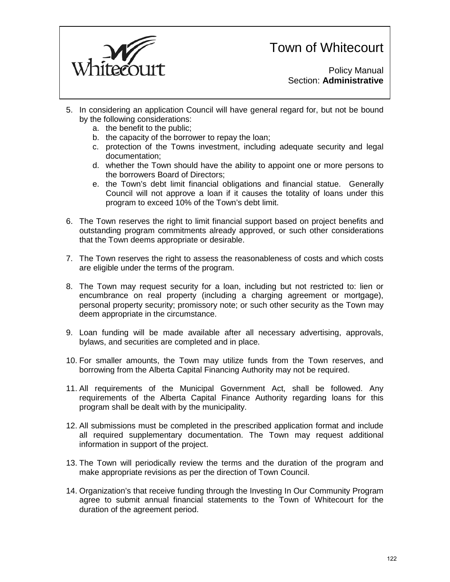

Policy Manual Section: **Administrative**

- 5. In considering an application Council will have general regard for, but not be bound by the following considerations:
	- a. the benefit to the public;
	- b. the capacity of the borrower to repay the loan;
	- c. protection of the Towns investment, including adequate security and legal documentation;
	- d. whether the Town should have the ability to appoint one or more persons to the borrowers Board of Directors;
	- e. the Town's debt limit financial obligations and financial statue. Generally Council will not approve a loan if it causes the totality of loans under this program to exceed 10% of the Town's debt limit.
- 6. The Town reserves the right to limit financial support based on project benefits and outstanding program commitments already approved, or such other considerations that the Town deems appropriate or desirable.
- 7. The Town reserves the right to assess the reasonableness of costs and which costs are eligible under the terms of the program.
- 8. The Town may request security for a loan, including but not restricted to: lien or encumbrance on real property (including a charging agreement or mortgage), personal property security; promissory note; or such other security as the Town may deem appropriate in the circumstance.
- 9. Loan funding will be made available after all necessary advertising, approvals, bylaws, and securities are completed and in place.
- 10. For smaller amounts, the Town may utilize funds from the Town reserves, and borrowing from the Alberta Capital Financing Authority may not be required.
- 11. All requirements of the Municipal Government Act, shall be followed. Any requirements of the Alberta Capital Finance Authority regarding loans for this program shall be dealt with by the municipality.
- 12. All submissions must be completed in the prescribed application format and include all required supplementary documentation. The Town may request additional information in support of the project.
- 13. The Town will periodically review the terms and the duration of the program and make appropriate revisions as per the direction of Town Council.
- 14. Organization's that receive funding through the Investing In Our Community Program agree to submit annual financial statements to the Town of Whitecourt for the duration of the agreement period.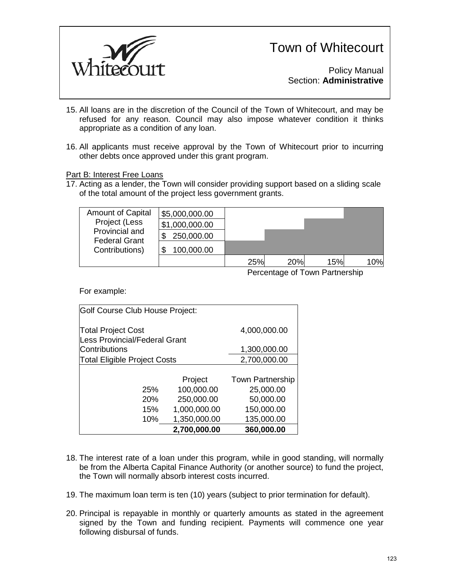

Policy Manual Section: **Administrative**

- 15. All loans are in the discretion of the Council of the Town of Whitecourt, and may be refused for any reason. Council may also impose whatever condition it thinks appropriate as a condition of any loan.
- 16. All applicants must receive approval by the Town of Whitecourt prior to incurring other debts once approved under this grant program.

#### Part B: Interest Free Loans

17. Acting as a lender, the Town will consider providing support based on a sliding scale of the total amount of the project less government grants.

| <b>Amount of Capital</b><br>Project (Less<br>Provincial and<br><b>Federal Grant</b><br>Contributions) | \$5,000,000.00 |     |     |     |     |
|-------------------------------------------------------------------------------------------------------|----------------|-----|-----|-----|-----|
|                                                                                                       | \$1,000,000.00 |     |     |     |     |
|                                                                                                       | 250,000.00     |     |     |     |     |
|                                                                                                       | 100,000.00     |     |     |     |     |
|                                                                                                       |                | 25% | 20% | 15% | 10% |

Percentage of Town Partnership

For example:

| Golf Course Club House Project:                                   |              |                         |  |  |  |  |  |
|-------------------------------------------------------------------|--------------|-------------------------|--|--|--|--|--|
| <b>Total Project Cost</b><br><b>Less Provincial/Federal Grant</b> | 4,000,000.00 |                         |  |  |  |  |  |
| <b>Contributions</b>                                              | 1,300,000.00 |                         |  |  |  |  |  |
| <b>Total Eligible Project Costs</b>                               | 2,700,000.00 |                         |  |  |  |  |  |
|                                                                   |              |                         |  |  |  |  |  |
|                                                                   | Project      | <b>Town Partnership</b> |  |  |  |  |  |
| 25%                                                               | 100,000.00   | 25,000.00               |  |  |  |  |  |
| 20%                                                               | 250,000.00   | 50,000.00               |  |  |  |  |  |
| 15%                                                               | 1,000,000.00 | 150,000.00              |  |  |  |  |  |
| 10%                                                               | 1,350,000.00 | 135,000.00              |  |  |  |  |  |
|                                                                   | 2,700,000.00 | 360,000.00              |  |  |  |  |  |

- 18. The interest rate of a loan under this program, while in good standing, will normally be from the Alberta Capital Finance Authority (or another source) to fund the project, the Town will normally absorb interest costs incurred.
- 19. The maximum loan term is ten (10) years (subject to prior termination for default).
- 20. Principal is repayable in monthly or quarterly amounts as stated in the agreement signed by the Town and funding recipient. Payments will commence one year following disbursal of funds.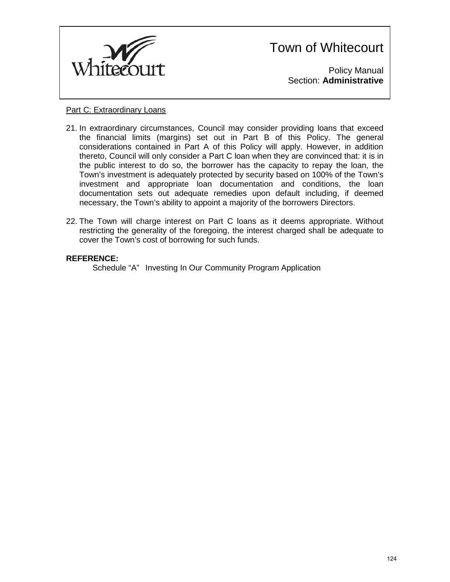

Policy Manual Section: **Administrative**

#### Part C: Extraordinary Loans

- 21. In extraordinary circumstances, Council may consider providing loans that exceed the financial limits (margins) set out in Part B of this Policy. The general considerations contained in Part A of this Policy will apply. However, in addition thereto, Council will only consider a Part C loan when they are convinced that: it is in the public interest to do so, the borrower has the capacity to repay the loan, the Town's investment is adequately protected by security based on 100% of the Town's investment and appropriate loan documentation and conditions, the loan documentation sets out adequate remedies upon default including, if deemed necessary, the Town's ability to appoint a majority of the borrowers Directors.
- 22. The Town will charge interest on Part C loans as it deems appropriate. Without restricting the generality of the foregoing, the interest charged shall be adequate to cover the Town's cost of borrowing for such funds.

#### **REFERENCE:**

Schedule "A" Investing In Our Community Program Application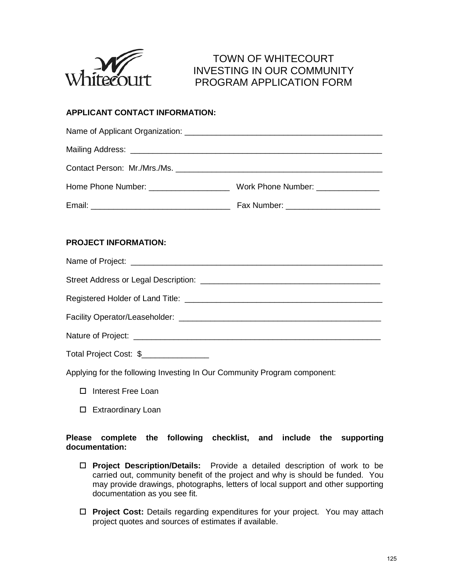

### TOWN OF WHITECOURT INVESTING IN OUR COMMUNITY PROGRAM APPLICATION FORM

### **APPLICANT CONTACT INFORMATION:**

#### **PROJECT INFORMATION:**

Name of Project:  $\blacksquare$ Street Address or Legal Description: \_\_\_\_\_\_\_\_\_\_\_\_\_\_\_\_\_\_\_\_\_\_\_\_\_\_\_\_\_\_\_\_\_\_\_\_\_\_\_\_ Registered Holder of Land Title: \_\_\_\_\_\_\_\_\_\_\_\_\_\_\_\_\_\_\_\_\_\_\_\_\_\_\_\_\_\_\_\_\_\_\_\_\_\_\_\_\_\_\_\_ Facility Operator/Leaseholder: \_\_\_\_\_\_\_\_\_\_\_\_\_\_\_\_\_\_\_\_\_\_\_\_\_\_\_\_\_\_\_\_\_\_\_\_\_\_\_\_\_\_\_\_\_ Nature of Project:  $\blacksquare$ Total Project Cost: \$

Applying for the following Investing In Our Community Program component:

- □ Interest Free Loan
- □ Extraordinary Loan

#### **Please complete the following checklist, and include the supporting documentation:**

- **Project Description/Details:** Provide a detailed description of work to be carried out, community benefit of the project and why is should be funded. You may provide drawings, photographs, letters of local support and other supporting documentation as you see fit.
- **Project Cost:** Details regarding expenditures for your project. You may attach project quotes and sources of estimates if available.